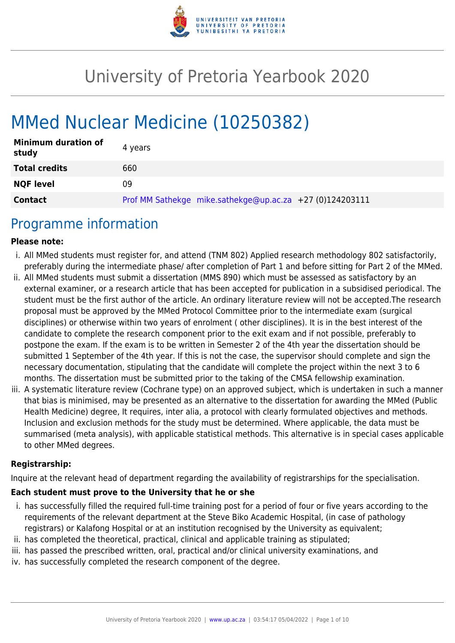

# University of Pretoria Yearbook 2020

# MMed Nuclear Medicine (10250382)

| <b>Minimum duration of</b><br>study | 4 years                                                  |
|-------------------------------------|----------------------------------------------------------|
| <b>Total credits</b>                | 660                                                      |
| <b>NQF level</b>                    | 09                                                       |
| <b>Contact</b>                      | Prof MM Sathekge mike.sathekge@up.ac.za +27 (0)124203111 |

### Programme information

#### **Please note:**

- i. All MMed students must register for, and attend (TNM 802) Applied research methodology 802 satisfactorily, preferably during the intermediate phase/ after completion of Part 1 and before sitting for Part 2 of the MMed.
- ii. All MMed students must submit a dissertation (MMS 890) which must be assessed as satisfactory by an external examiner, or a research article that has been accepted for publication in a subsidised periodical. The student must be the first author of the article. An ordinary literature review will not be accepted.The research proposal must be approved by the MMed Protocol Committee prior to the intermediate exam (surgical disciplines) or otherwise within two years of enrolment ( other disciplines). It is in the best interest of the candidate to complete the research component prior to the exit exam and if not possible, preferably to postpone the exam. If the exam is to be written in Semester 2 of the 4th year the dissertation should be submitted 1 September of the 4th year. If this is not the case, the supervisor should complete and sign the necessary documentation, stipulating that the candidate will complete the project within the next 3 to 6 months. The dissertation must be submitted prior to the taking of the CMSA fellowship examination.
- iii. A systematic literature review (Cochrane type) on an approved subject, which is undertaken in such a manner that bias is minimised, may be presented as an alternative to the dissertation for awarding the MMed (Public Health Medicine) degree, It requires, inter alia, a protocol with clearly formulated objectives and methods. Inclusion and exclusion methods for the study must be determined. Where applicable, the data must be summarised (meta analysis), with applicable statistical methods. This alternative is in special cases applicable to other MMed degrees.

#### **Registrarship:**

Inquire at the relevant head of department regarding the availability of registrarships for the specialisation.

#### **Each student must prove to the University that he or she**

- i. has successfully filled the required full-time training post for a period of four or five years according to the requirements of the relevant department at the Steve Biko Academic Hospital, (in case of pathology registrars) or Kalafong Hospital or at an institution recognised by the University as equivalent;
- ii. has completed the theoretical, practical, clinical and applicable training as stipulated;
- iii. has passed the prescribed written, oral, practical and/or clinical university examinations, and
- iv. has successfully completed the research component of the degree.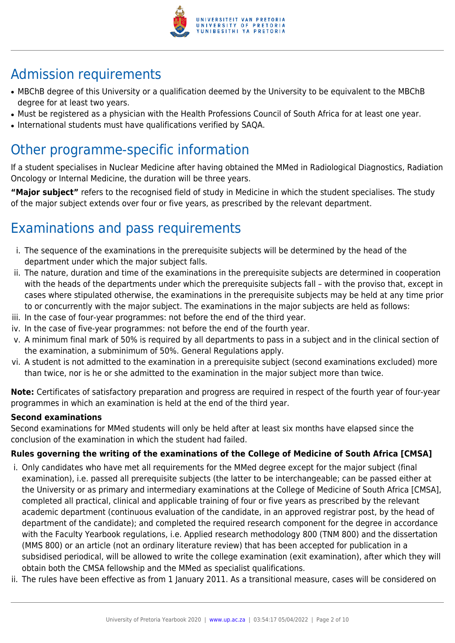

# Admission requirements

- MBChB degree of this University or a qualification deemed by the University to be equivalent to the MBChB degree for at least two years.
- Must be registered as a physician with the Health Professions Council of South Africa for at least one year.
- International students must have qualifications verified by SAQA.

## Other programme-specific information

If a student specialises in Nuclear Medicine after having obtained the MMed in Radiological Diagnostics, Radiation Oncology or Internal Medicine, the duration will be three years.

**"Major subject"** refers to the recognised field of study in Medicine in which the student specialises. The study of the major subject extends over four or five years, as prescribed by the relevant department.

# Examinations and pass requirements

- i. The sequence of the examinations in the prerequisite subjects will be determined by the head of the department under which the major subject falls.
- ii. The nature, duration and time of the examinations in the prerequisite subjects are determined in cooperation with the heads of the departments under which the prerequisite subjects fall – with the proviso that, except in cases where stipulated otherwise, the examinations in the prerequisite subjects may be held at any time prior to or concurrently with the major subject. The examinations in the major subjects are held as follows:
- iii. In the case of four-year programmes: not before the end of the third year.
- iv. In the case of five-year programmes: not before the end of the fourth year.
- v. A minimum final mark of 50% is required by all departments to pass in a subject and in the clinical section of the examination, a subminimum of 50%. General Regulations apply.
- vi. A student is not admitted to the examination in a prerequisite subject (second examinations excluded) more than twice, nor is he or she admitted to the examination in the major subject more than twice.

**Note:** Certificates of satisfactory preparation and progress are required in respect of the fourth year of four-year programmes in which an examination is held at the end of the third year.

#### **Second examinations**

Second examinations for MMed students will only be held after at least six months have elapsed since the conclusion of the examination in which the student had failed.

#### **Rules governing the writing of the examinations of the College of Medicine of South Africa [CMSA]**

- i. Only candidates who have met all requirements for the MMed degree except for the major subject (final examination), i.e. passed all prerequisite subjects (the latter to be interchangeable; can be passed either at the University or as primary and intermediary examinations at the College of Medicine of South Africa [CMSA], completed all practical, clinical and applicable training of four or five years as prescribed by the relevant academic department (continuous evaluation of the candidate, in an approved registrar post, by the head of department of the candidate); and completed the required research component for the degree in accordance with the Faculty Yearbook regulations, i.e. Applied research methodology 800 (TNM 800) and the dissertation (MMS 800) or an article (not an ordinary literature review) that has been accepted for publication in a subsidised periodical, will be allowed to write the college examination (exit examination), after which they will obtain both the CMSA fellowship and the MMed as specialist qualifications.
- ii. The rules have been effective as from 1 January 2011. As a transitional measure, cases will be considered on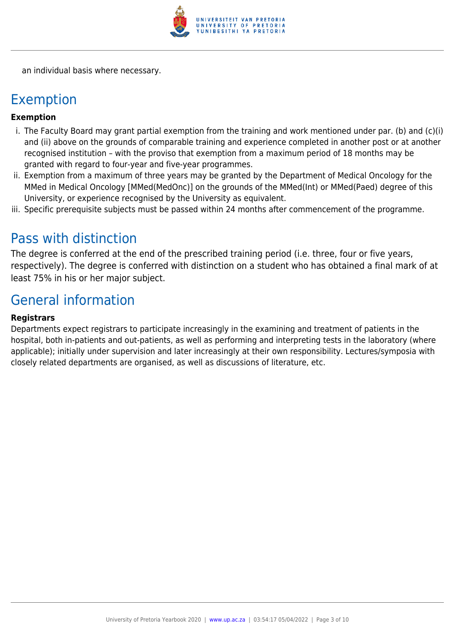

an individual basis where necessary.

### Exemption

#### **Exemption**

- i. The Faculty Board may grant partial exemption from the training and work mentioned under par. (b) and (c)(i) and (ii) above on the grounds of comparable training and experience completed in another post or at another recognised institution – with the proviso that exemption from a maximum period of 18 months may be granted with regard to four-year and five-year programmes.
- ii. Exemption from a maximum of three years may be granted by the Department of Medical Oncology for the MMed in Medical Oncology [MMed(MedOnc)] on the grounds of the MMed(Int) or MMed(Paed) degree of this University, or experience recognised by the University as equivalent.
- iii. Specific prerequisite subjects must be passed within 24 months after commencement of the programme.

### Pass with distinction

The degree is conferred at the end of the prescribed training period (i.e. three, four or five years, respectively). The degree is conferred with distinction on a student who has obtained a final mark of at least 75% in his or her major subject.

### General information

#### **Registrars**

Departments expect registrars to participate increasingly in the examining and treatment of patients in the hospital, both in-patients and out-patients, as well as performing and interpreting tests in the laboratory (where applicable); initially under supervision and later increasingly at their own responsibility. Lectures/symposia with closely related departments are organised, as well as discussions of literature, etc.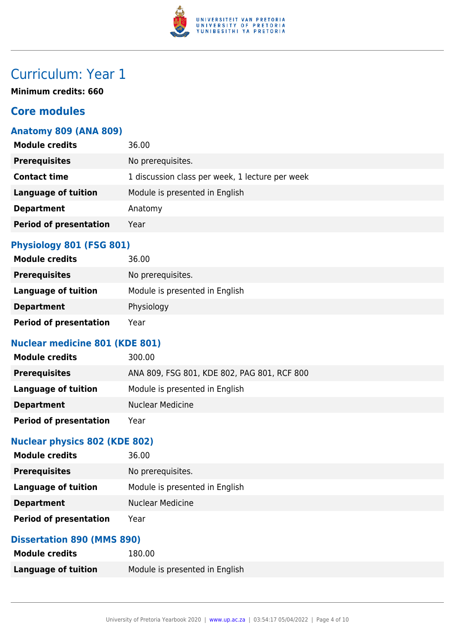

# Curriculum: Year 1

**Minimum credits: 660**

#### **Core modules**

#### **Anatomy 809 (ANA 809)**

| <b>Module credits</b>         | 36.00                                           |
|-------------------------------|-------------------------------------------------|
| <b>Prerequisites</b>          | No prerequisites.                               |
| <b>Contact time</b>           | 1 discussion class per week, 1 lecture per week |
| <b>Language of tuition</b>    | Module is presented in English                  |
| <b>Department</b>             | Anatomy                                         |
| <b>Period of presentation</b> | Year                                            |
|                               |                                                 |

#### **Physiology 801 (FSG 801)**

| <b>Module credits</b>         | 36.00                          |
|-------------------------------|--------------------------------|
| <b>Prerequisites</b>          | No prerequisites.              |
| Language of tuition           | Module is presented in English |
| <b>Department</b>             | Physiology                     |
| <b>Period of presentation</b> | Year                           |

#### **Nuclear medicine 801 (KDE 801)**

| <b>Module credits</b>         | 300.00                                      |
|-------------------------------|---------------------------------------------|
| <b>Prerequisites</b>          | ANA 809, FSG 801, KDE 802, PAG 801, RCF 800 |
| Language of tuition           | Module is presented in English              |
| <b>Department</b>             | <b>Nuclear Medicine</b>                     |
| <b>Period of presentation</b> | Year                                        |

#### **Nuclear physics 802 (KDE 802)**

| <b>Module credits</b>         | 36.00                          |
|-------------------------------|--------------------------------|
| <b>Prerequisites</b>          | No prerequisites.              |
| Language of tuition           | Module is presented in English |
| <b>Department</b>             | <b>Nuclear Medicine</b>        |
| <b>Period of presentation</b> | Year                           |

#### **Dissertation 890 (MMS 890)**

| <b>Module credits</b>      | 180.00                         |
|----------------------------|--------------------------------|
| <b>Language of tuition</b> | Module is presented in English |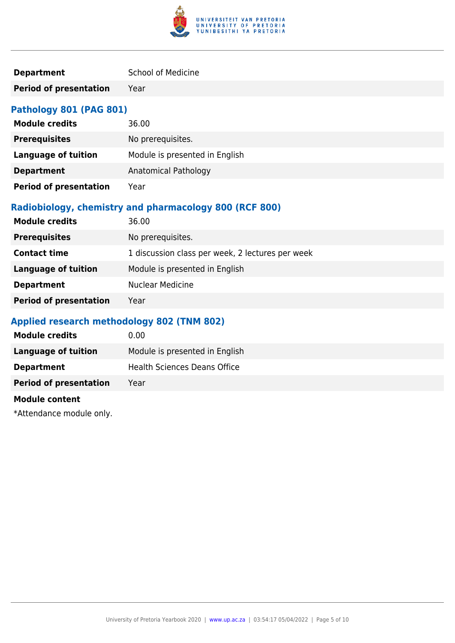

| <b>Department</b> | <b>School of Medicine</b> |
|-------------------|---------------------------|
|                   |                           |

**Period of presentation** Year

#### **Pathology 801 (PAG 801)**

| <b>Module credits</b>         | 36.00                          |
|-------------------------------|--------------------------------|
| <b>Prerequisites</b>          | No prerequisites.              |
| <b>Language of tuition</b>    | Module is presented in English |
| <b>Department</b>             | Anatomical Pathology           |
| <b>Period of presentation</b> | Year                           |

#### **Radiobiology, chemistry and pharmacology 800 (RCF 800)**

| <b>Module credits</b>         | 36.00                                            |
|-------------------------------|--------------------------------------------------|
| <b>Prerequisites</b>          | No prerequisites.                                |
| <b>Contact time</b>           | 1 discussion class per week, 2 lectures per week |
| <b>Language of tuition</b>    | Module is presented in English                   |
| <b>Department</b>             | <b>Nuclear Medicine</b>                          |
| <b>Period of presentation</b> | Year                                             |

#### **Applied research methodology 802 (TNM 802)**

| <b>Module credits</b>         | 0.00                                |
|-------------------------------|-------------------------------------|
| Language of tuition           | Module is presented in English      |
| <b>Department</b>             | <b>Health Sciences Deans Office</b> |
| <b>Period of presentation</b> | Year                                |
|                               |                                     |

#### **Module content**

\*Attendance module only.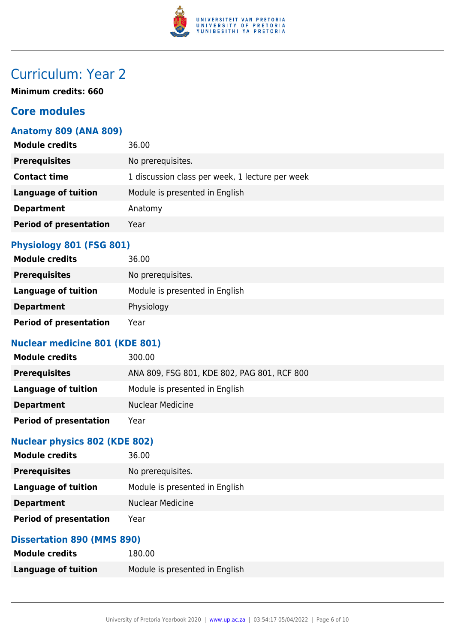

# Curriculum: Year 2

**Minimum credits: 660**

#### **Core modules**

#### **Anatomy 809 (ANA 809)**

| <b>Module credits</b>         | 36.00                                           |
|-------------------------------|-------------------------------------------------|
| <b>Prerequisites</b>          | No prerequisites.                               |
| <b>Contact time</b>           | 1 discussion class per week, 1 lecture per week |
| <b>Language of tuition</b>    | Module is presented in English                  |
| <b>Department</b>             | Anatomy                                         |
| <b>Period of presentation</b> | Year                                            |
|                               |                                                 |

#### **Physiology 801 (FSG 801)**

| <b>Module credits</b>         | 36.00                          |
|-------------------------------|--------------------------------|
| <b>Prerequisites</b>          | No prerequisites.              |
| Language of tuition           | Module is presented in English |
| <b>Department</b>             | Physiology                     |
| <b>Period of presentation</b> | Year                           |

#### **Nuclear medicine 801 (KDE 801)**

| <b>Module credits</b>         | 300.00                                      |
|-------------------------------|---------------------------------------------|
| <b>Prerequisites</b>          | ANA 809, FSG 801, KDE 802, PAG 801, RCF 800 |
| Language of tuition           | Module is presented in English              |
| <b>Department</b>             | <b>Nuclear Medicine</b>                     |
| <b>Period of presentation</b> | Year                                        |

#### **Nuclear physics 802 (KDE 802)**

| <b>Module credits</b>         | 36.00                          |
|-------------------------------|--------------------------------|
| <b>Prerequisites</b>          | No prerequisites.              |
| Language of tuition           | Module is presented in English |
| <b>Department</b>             | <b>Nuclear Medicine</b>        |
| <b>Period of presentation</b> | Year                           |

#### **Dissertation 890 (MMS 890)**

| <b>Module credits</b> | 180.00                         |
|-----------------------|--------------------------------|
| Language of tuition   | Module is presented in English |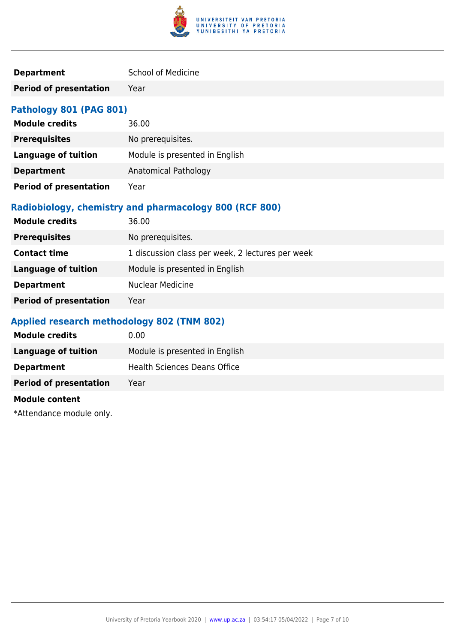

| <b>Department</b> | <b>School of Medicine</b> |
|-------------------|---------------------------|
|                   |                           |

**Period of presentation** Year

#### **Pathology 801 (PAG 801)**

| <b>Module credits</b>         | 36.00                          |
|-------------------------------|--------------------------------|
| <b>Prerequisites</b>          | No prerequisites.              |
| <b>Language of tuition</b>    | Module is presented in English |
| <b>Department</b>             | Anatomical Pathology           |
| <b>Period of presentation</b> | Year                           |

#### **Radiobiology, chemistry and pharmacology 800 (RCF 800)**

| <b>Module credits</b>         | 36.00                                            |
|-------------------------------|--------------------------------------------------|
| <b>Prerequisites</b>          | No prerequisites.                                |
| <b>Contact time</b>           | 1 discussion class per week, 2 lectures per week |
| <b>Language of tuition</b>    | Module is presented in English                   |
| <b>Department</b>             | <b>Nuclear Medicine</b>                          |
| <b>Period of presentation</b> | Year                                             |

#### **Applied research methodology 802 (TNM 802)**

| <b>Module credits</b>         | 0.00                                |
|-------------------------------|-------------------------------------|
| Language of tuition           | Module is presented in English      |
| <b>Department</b>             | <b>Health Sciences Deans Office</b> |
| <b>Period of presentation</b> | Year                                |
|                               |                                     |

#### **Module content**

\*Attendance module only.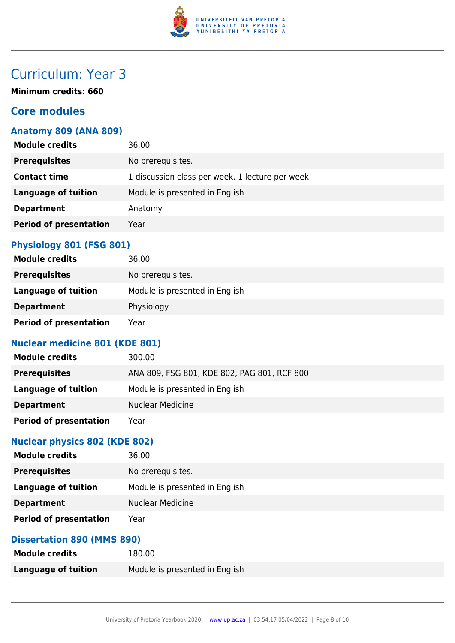

# Curriculum: Year 3

**Minimum credits: 660**

#### **Core modules**

#### **Anatomy 809 (ANA 809)**

| <b>Module credits</b>         | 36.00                                           |
|-------------------------------|-------------------------------------------------|
| <b>Prerequisites</b>          | No prerequisites.                               |
| <b>Contact time</b>           | 1 discussion class per week, 1 lecture per week |
| <b>Language of tuition</b>    | Module is presented in English                  |
| <b>Department</b>             | Anatomy                                         |
| <b>Period of presentation</b> | Year                                            |
|                               |                                                 |

#### **Physiology 801 (FSG 801)**

| <b>Module credits</b>         | 36.00                          |
|-------------------------------|--------------------------------|
| <b>Prerequisites</b>          | No prerequisites.              |
| Language of tuition           | Module is presented in English |
| <b>Department</b>             | Physiology                     |
| <b>Period of presentation</b> | Year                           |

#### **Nuclear medicine 801 (KDE 801)**

| <b>Module credits</b>         | 300.00                                      |
|-------------------------------|---------------------------------------------|
| <b>Prerequisites</b>          | ANA 809, FSG 801, KDE 802, PAG 801, RCF 800 |
| Language of tuition           | Module is presented in English              |
| <b>Department</b>             | <b>Nuclear Medicine</b>                     |
| <b>Period of presentation</b> | Year                                        |

#### **Nuclear physics 802 (KDE 802)**

| <b>Module credits</b>         | 36.00                          |
|-------------------------------|--------------------------------|
| <b>Prerequisites</b>          | No prerequisites.              |
| Language of tuition           | Module is presented in English |
| <b>Department</b>             | <b>Nuclear Medicine</b>        |
| <b>Period of presentation</b> | Year                           |

#### **Dissertation 890 (MMS 890)**

| <b>Module credits</b>      | 180.00                         |
|----------------------------|--------------------------------|
| <b>Language of tuition</b> | Module is presented in English |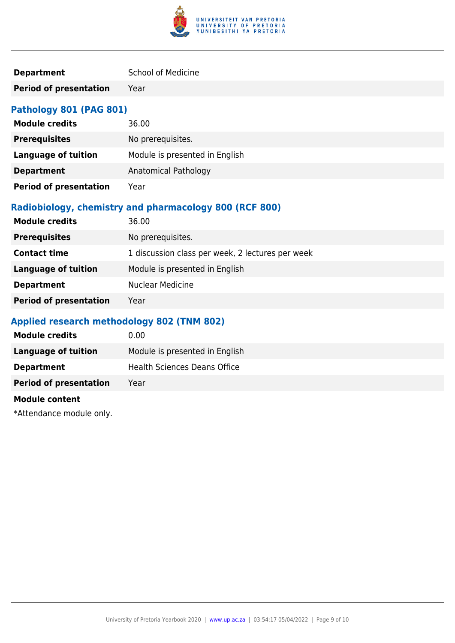

| <b>Department</b> | <b>School of Medicine</b> |
|-------------------|---------------------------|
|                   |                           |

**Period of presentation** Year

#### **Pathology 801 (PAG 801)**

| <b>Module credits</b>         | 36.00                          |
|-------------------------------|--------------------------------|
| <b>Prerequisites</b>          | No prerequisites.              |
| <b>Language of tuition</b>    | Module is presented in English |
| <b>Department</b>             | Anatomical Pathology           |
| <b>Period of presentation</b> | Year                           |

#### **Radiobiology, chemistry and pharmacology 800 (RCF 800)**

| <b>Module credits</b>         | 36.00                                            |
|-------------------------------|--------------------------------------------------|
| <b>Prerequisites</b>          | No prerequisites.                                |
| <b>Contact time</b>           | 1 discussion class per week, 2 lectures per week |
| <b>Language of tuition</b>    | Module is presented in English                   |
| <b>Department</b>             | <b>Nuclear Medicine</b>                          |
| <b>Period of presentation</b> | Year                                             |

#### **Applied research methodology 802 (TNM 802)**

| <b>Module credits</b>         | 0.00                                |
|-------------------------------|-------------------------------------|
| Language of tuition           | Module is presented in English      |
| <b>Department</b>             | <b>Health Sciences Deans Office</b> |
| <b>Period of presentation</b> | Year                                |
|                               |                                     |

#### **Module content**

\*Attendance module only.